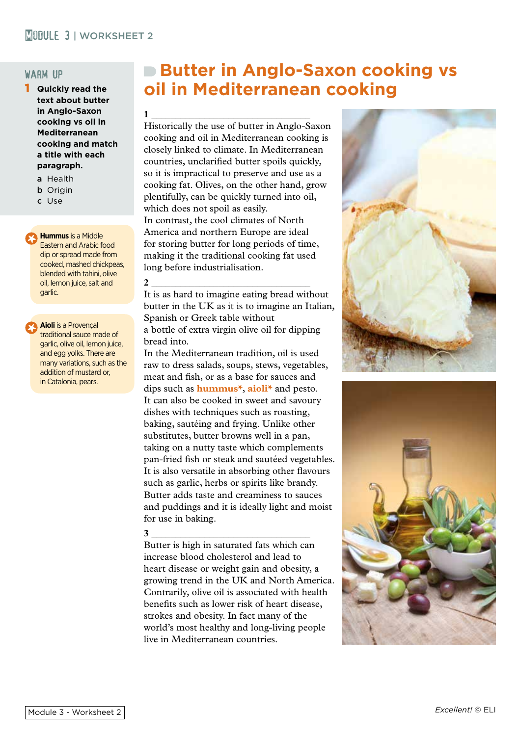# warm up

- 1 **Quickly read the text about butter in Anglo-Saxon cooking vs oil in Mediterranean cooking and match a title with each paragraph.**
	- a Health
	- **b** Origin
	- c Use

**Hummus** is a Middle Eastern and Arabic food dip or spread made from cooked, mashed chickpeas, blended with tahini, olive oil, lemon juice, salt and garlic.

**Aioli** is a Provençal traditional sauce made of garlic, olive oil, lemon juice, and egg yolks. There are many variations, such as the addition of mustard or, in Catalonia, pears.

# **Butter in Anglo-Saxon cooking vs oil in Mediterranean cooking**

**1** \_\_\_\_\_\_\_\_\_\_\_\_\_\_\_\_\_\_\_\_\_\_\_\_\_\_\_\_\_\_\_\_\_ Historically the use of butter in Anglo-Saxon cooking and oil in Mediterranean cooking is closely linked to climate. In Mediterranean countries, unclarified butter spoils quickly, so it is impractical to preserve and use as a cooking fat. Olives, on the other hand, grow plentifully, can be quickly turned into oil, which does not spoil as easily. In contrast, the cool climates of North America and northern Europe are ideal for storing butter for long periods of time, making it the traditional cooking fat used long before industrialisation.

**2** \_\_\_\_\_\_\_\_\_\_\_\_\_\_\_\_\_\_\_\_\_\_\_\_\_\_\_\_\_\_\_\_\_ It is as hard to imagine eating bread without butter in the UK as it is to imagine an Italian, Spanish or Greek table without a bottle of extra virgin olive oil for dipping bread into.

In the Mediterranean tradition, oil is used raw to dress salads, soups, stews, vegetables, meat and fish, or as a base for sauces and dips such as **hummus<sup>\*</sup>**, **aioli**<sup>\*</sup> and pesto. It can also be cooked in sweet and savoury dishes with techniques such as roasting, baking, sautéing and frying. Unlike other substitutes, butter browns well in a pan, taking on a nutty taste which complements pan-fried fish or steak and sautéed vegetables. It is also versatile in absorbing other flavours such as garlic, herbs or spirits like brandy. Butter adds taste and creaminess to sauces and puddings and it is ideally light and moist for use in baking.

# **3** \_\_\_\_\_\_\_\_\_\_\_\_\_\_\_\_\_\_\_\_\_\_\_\_\_\_\_\_\_\_\_\_\_

Butter is high in saturated fats which can increase blood cholesterol and lead to heart disease or weight gain and obesity, a growing trend in the UK and North America. Contrarily, olive oil is associated with health benefits such as lower risk of heart disease, strokes and obesity. In fact many of the world's most healthy and long-living people live in Mediterranean countries.